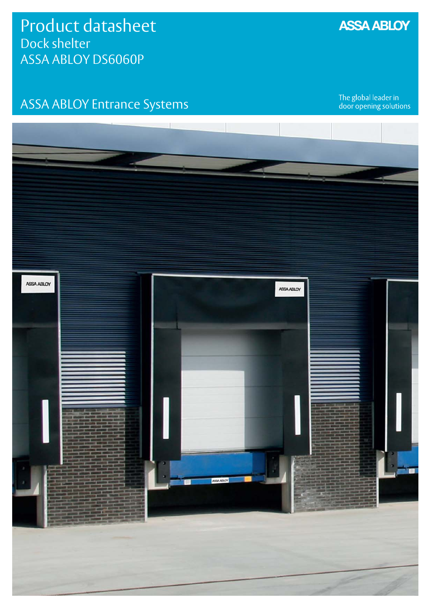## ASSA ABLOY Entrance Systems

The global leader in<br>door opening solutions



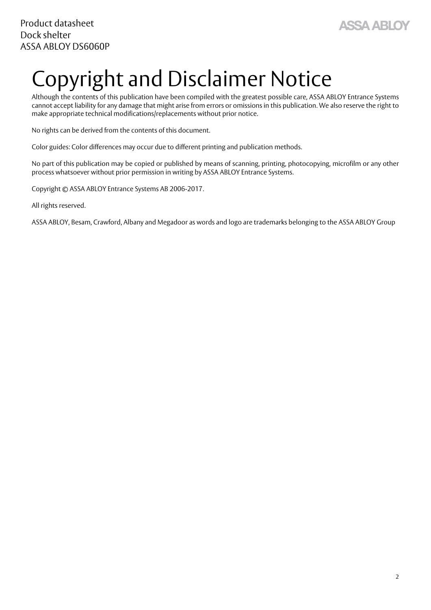

# <span id="page-1-1"></span><span id="page-1-0"></span>Copyright and Disclaimer Notice

Although the contents of this publication have been compiled with the greatest possible care, ASSA ABLOY Entrance Systems cannot accept liability for any damage that might arise from errors or omissions in this publication. We also reserve the right to make appropriate technical modifications/replacements without prior notice.

No rights can be derived from the contents of this document.

Color guides: Color differences may occur due to different printing and publication methods.

No part of this publication may be copied or published by means of scanning, printing, photocopying, microfilm or any other process whatsoever without prior permission in writing by ASSA ABLOY Entrance Systems.

Copyright © ASSA ABLOY Entrance Systems AB 2006-2017.

All rights reserved.

ASSA ABLOY, Besam, Crawford, Albany and Megadoor as words and logo are trademarks belonging to the ASSA ABLOY Group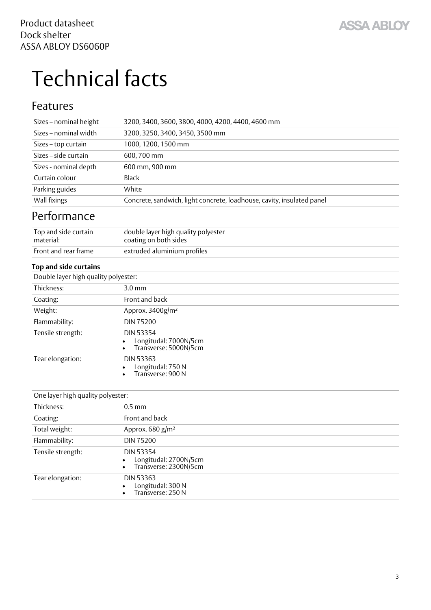# <span id="page-2-3"></span><span id="page-2-0"></span>Technical facts

#### <span id="page-2-1"></span>Features

<span id="page-2-4"></span><span id="page-2-2"></span>

| Sizes - nominal height               | 3200, 3400, 3600, 3800, 4000, 4200, 4400, 4600 mm                      |
|--------------------------------------|------------------------------------------------------------------------|
| Sizes - nominal width                | 3200, 3250, 3400, 3450, 3500 mm                                        |
| Sizes - top curtain                  | 1000, 1200, 1500 mm                                                    |
| Sizes - side curtain                 | 600,700 mm                                                             |
| Sizes - nominal depth                | 600 mm, 900 mm                                                         |
| Curtain colour                       | <b>Black</b>                                                           |
| Parking guides                       | White                                                                  |
| Wall fixings                         | Concrete, sandwich, light concrete, loadhouse, cavity, insulated panel |
| Performance                          |                                                                        |
| Top and side curtain<br>material:    | double layer high quality polyester<br>coating on both sides           |
| Front and rear frame                 | extruded aluminium profiles                                            |
| <b>Top and side curtains</b>         |                                                                        |
| Double layer high quality polyester: |                                                                        |
| Thickness:                           | $3.0 \text{ mm}$                                                       |
| Coating:                             | Front and back                                                         |
| Weight:                              | Approx. 3400g/m <sup>2</sup>                                           |
| Flammability:                        | <b>DIN 75200</b>                                                       |
| Tensile strength:                    | <b>DIN 53354</b><br>Longitudal: 7000N/5cm<br>Transverse: 5000N/5cm     |
| Tear elongation:                     | <b>DIN 53363</b><br>Longitudal: 750 N<br>Transverse: 900 N             |
|                                      |                                                                        |
| One layer high quality polyester:    |                                                                        |
| Thickness:                           | $0.5$ mm                                                               |
| Coating:                             | Front and back                                                         |
| Total weight:                        | Approx. 680 g/m <sup>2</sup>                                           |
| Flammability:                        | <b>DIN 75200</b>                                                       |
| Tensile strength:                    | <b>DIN 53354</b><br>Longitudal: 2700N/5cm<br>Transverse: 2300N/5cm     |
| Tear elongation:                     | <b>DIN 53363</b><br>Longitudal: 300 N<br>Transverse: 250 N             |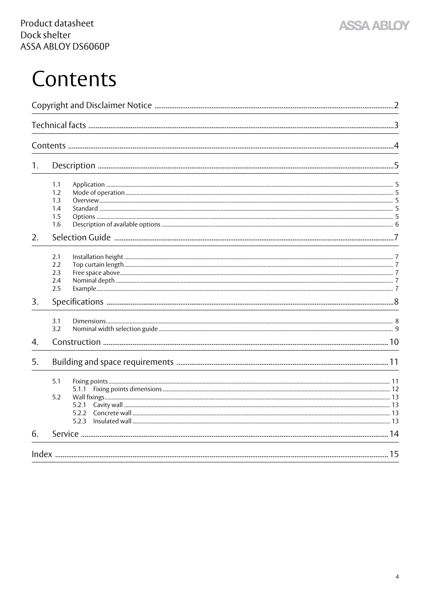

## <span id="page-3-0"></span>Contents

| 1. |                                                |  |
|----|------------------------------------------------|--|
|    | 1.1<br>1.2<br>1.3<br>1.4<br>1.5<br>1.6         |  |
| 2. |                                                |  |
|    | 2.1<br>2.2<br>2.3<br>2.4<br>2.5                |  |
| 3. |                                                |  |
|    | 3.1<br>3.2                                     |  |
| 4. |                                                |  |
| 5. |                                                |  |
|    | 5.1<br>5.1.1<br>5.2<br>5.2.1<br>5.2.2<br>5.2.3 |  |
| 6. |                                                |  |
|    |                                                |  |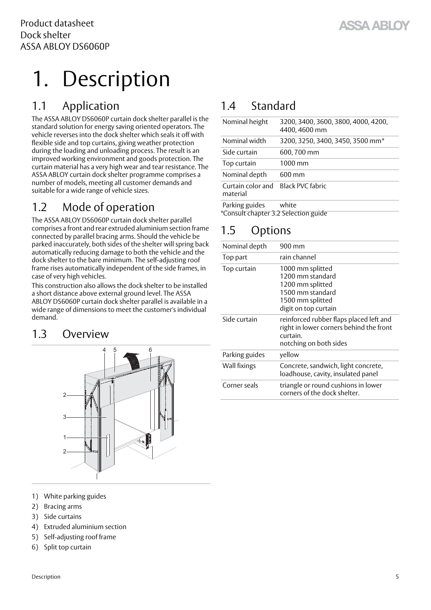# <span id="page-4-7"></span><span id="page-4-0"></span>1. Description

## <span id="page-4-6"></span><span id="page-4-1"></span>1.1 Application

The ASSA ABLOY DS6060P curtain dock shelter parallel is the standard solution for energy saving oriented operators. The vehicle reverses into the dock shelter which seals it off with flexible side and top curtains, giving weather protection during the loading and unloading process. The result is an improved working environment and goods protection. The curtain material has a very high wear and tear resistance. The ASSA ABLOY curtain dock shelter programme comprises a number of models, meeting all customer demands and suitable for a wide range of vehicle sizes.

## <span id="page-4-8"></span><span id="page-4-2"></span>1.2 Mode of operation

The ASSA ABLOY DS6060P curtain dock shelter parallel comprises a front and rear extruded aluminium section frame connected by parallel bracing arms. Should the vehicle be parked inaccurately, both sides of the shelter will spring back automatically reducing damage to both the vehicle and the dock shelter to the bare minimum. The self-adjusting roof frame rises automatically independent of the side frames, in case of very high vehicles.

This construction also allows the dock shelter to be installed a short distance above external ground level. The ASSA ABLOY DS6060P curtain dock shelter parallel is available in a wide range of dimensions to meet the customer's individual demand.

#### <span id="page-4-3"></span>1.3 Overview

<span id="page-4-10"></span>

- 1) White parking guides
- 2) Bracing arms
- 3) Side curtains
- 4) Extruded aluminium section
- 5) Self-adjusting roof frame
- 6) Split top curtain

## <span id="page-4-11"></span><span id="page-4-4"></span>1.4 Standard

| Nominal height                                         | 3200, 3400, 3600, 3800, 4000, 4200,<br>4400, 4600 mm |
|--------------------------------------------------------|------------------------------------------------------|
| Nominal width                                          | 3200, 3250, 3400, 3450, 3500 mm*                     |
| Side curtain                                           | 600, 700 mm                                          |
| Top curtain                                            | $1000 \text{ mm}$                                    |
| Nominal depth                                          | $600 \,\mathrm{mm}$                                  |
| Curtain color and<br>material                          | Black PVC fabric                                     |
| Parking guides<br>*Consult chapter 3.2 Selection guide | white                                                |

## <span id="page-4-9"></span><span id="page-4-5"></span>1.5 Options

| Nominal depth  | 900 mm                                                                                                                   |
|----------------|--------------------------------------------------------------------------------------------------------------------------|
| Top part       | rain channel                                                                                                             |
| Top curtain    | 1000 mm splitted<br>1200 mm standard<br>1200 mm splitted<br>1500 mm standard<br>1500 mm splitted<br>digit on top curtain |
| Side curtain   | reinforced rubber flaps placed left and<br>right in lower corners behind the front<br>curtain.<br>notching on both sides |
| Parking guides | yellow                                                                                                                   |
| Wall fixings   | Concrete, sandwich, light concrete,<br>loadhouse, cavity, insulated panel                                                |
| Corner seals   | triangle or round cushions in lower<br>corners of the dock shelter.                                                      |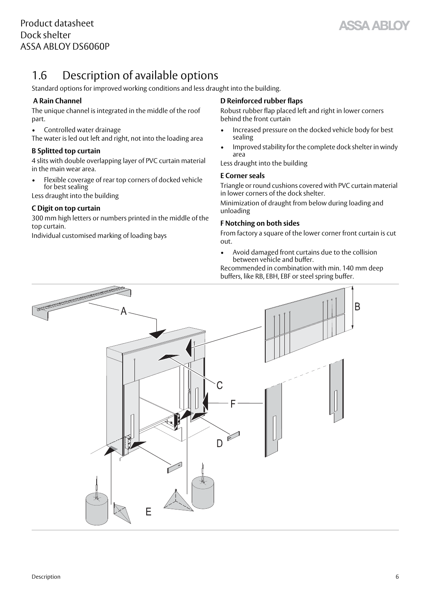SSA ARIO

## <span id="page-5-1"></span><span id="page-5-0"></span>1.6 Description of available options

Standard options for improved working conditions and less draught into the building.

#### **A Rain Channel**

The unique channel is integrated in the middle of the roof part.

• Controlled water drainage

The water is led out left and right, not into the loading area

#### **B Splitted top curtain**

4 slits with double overlapping layer of PVC curtain material in the main wear area.

• Flexible coverage of rear top corners of docked vehicle for best sealing

Less draught into the building

#### **C Digit on top curtain**

300 mm high letters or numbers printed in the middle of the top curtain.

Individual customised marking of loading bays

#### **D Reinforced rubber flaps**

Robust rubber flap placed left and right in lower corners behind the front curtain

- Increased pressure on the docked vehicle body for best sealing
- Improved stability for the complete dock shelter in windy area

Less draught into the building

#### **E Corner seals**

Triangle or round cushions covered with PVC curtain material in lower corners of the dock shelter.

Minimization of draught from below during loading and unloading

#### **F Notching on both sides**

From factory a square of the lower corner front curtain is cut out.

• Avoid damaged front curtains due to the collision between vehicle and buffer.

Recommended in combination with min. 140 mm deep buffers, like RB, EBH, EBF or steel spring buffer.

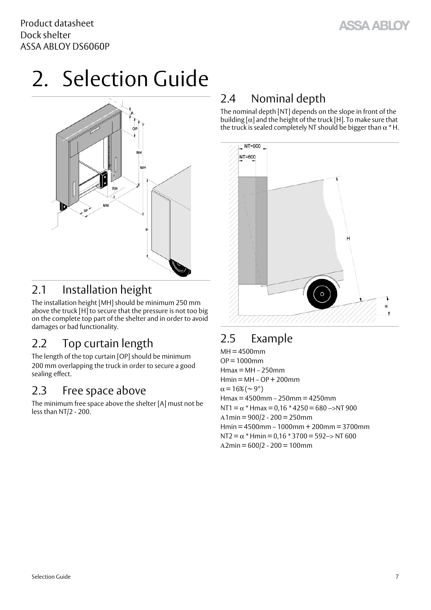# <span id="page-6-10"></span><span id="page-6-0"></span>2. Selection Guide



### <span id="page-6-8"></span><span id="page-6-1"></span>2.1 Installation height

The installation height [MH] should be minimum 250 mm above the truck [H] to secure that the pressure is not too big on the complete top part of the shelter and in order to avoid damages or bad functionality.

## <span id="page-6-11"></span><span id="page-6-2"></span>2.2 Top curtain length

The length of the top curtain [OP] should be minimum 200 mm overlapping the truck in order to secure a good sealing effect.

#### <span id="page-6-7"></span><span id="page-6-3"></span>2.3 Free space above

The minimum free space above the shelter [A] must not be less than NT/2 - 200.

### <span id="page-6-9"></span><span id="page-6-4"></span>2.4 Nominal depth

The nominal depth [NT] depends on the slope in front of the building  $\alpha$  and the height of the truck [H]. To make sure that the truck is sealed completely NT should be bigger than  $\alpha^*$  H.



## <span id="page-6-6"></span><span id="page-6-5"></span>2.5 Example

 $MH = 4500$ mm  $OP = 1000$ mm  $Hmax = MH - 250$ mm  $Hmin = MH - OP + 200$ mm  $\alpha$  = 16% (  $\sim$  9 $^{\circ}$ ) Hmax = 4500mm – 250mm = 4250mm NT1 =  $\alpha$  \* Hmax = 0,16 \* 4250 = 680 ->NT 900  $A1min = 900/2 - 200 = 250$ mm Hmin = 4500mm – 1000mm + 200mm = 3700mm NT2 =  $\alpha$  \* Hmin = 0,16 \* 3700 = 592–> NT 600  $A2min = 600/2 - 200 = 100$ mm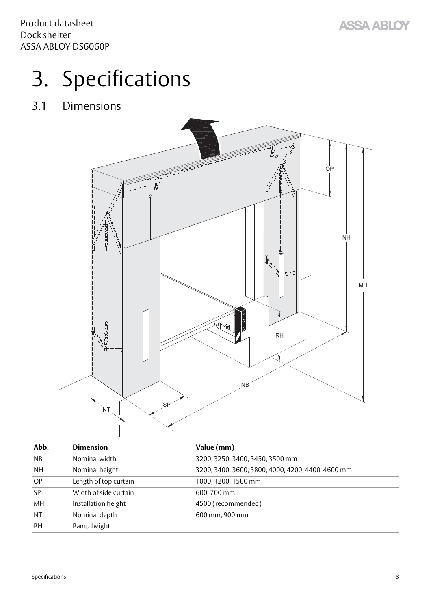# <span id="page-7-3"></span><span id="page-7-0"></span>3. Specifications

## <span id="page-7-1"></span>3.1 Dimensions

<span id="page-7-2"></span>

| Abb.      | <b>Dimension</b>      | Value (mm)                                        |
|-----------|-----------------------|---------------------------------------------------|
| NB        | Nominal width         | 3200, 3250, 3400, 3450, 3500 mm                   |
| <b>NH</b> | Nominal height        | 3200, 3400, 3600, 3800, 4000, 4200, 4400, 4600 mm |
| OP        | Length of top curtain | 1000, 1200, 1500 mm                               |
| SP        | Width of side curtain | 600, 700 mm                                       |
| MH        | Installation height   | 4500 (recommended)                                |
| <b>NT</b> | Nominal depth         | 600 mm, 900 mm                                    |
| <b>RH</b> | Ramp height           |                                                   |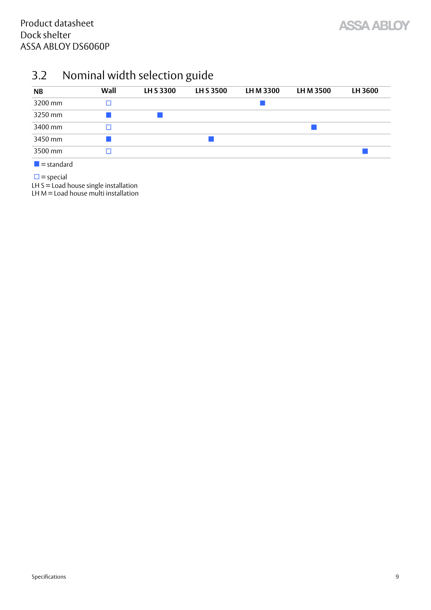

## <span id="page-8-1"></span><span id="page-8-0"></span>3.2 Nominal width selection guide

| <b>NB</b>                 | Wall | LH S 3300 | LH S 3500 | LH M 3300 | LH M 3500 | LH 3600 |
|---------------------------|------|-----------|-----------|-----------|-----------|---------|
| 3200 mm                   |      |           |           |           |           |         |
| 3250 mm                   |      |           |           |           |           |         |
| 3400 mm                   | П    |           |           |           |           |         |
| 3450 mm                   |      |           |           |           |           |         |
| 3500 mm                   |      |           |           |           |           |         |
| $\blacksquare$ = standard |      |           |           |           |           |         |

 $\square$  = special

LH S = Load house single installation

LH M = Load house multi installation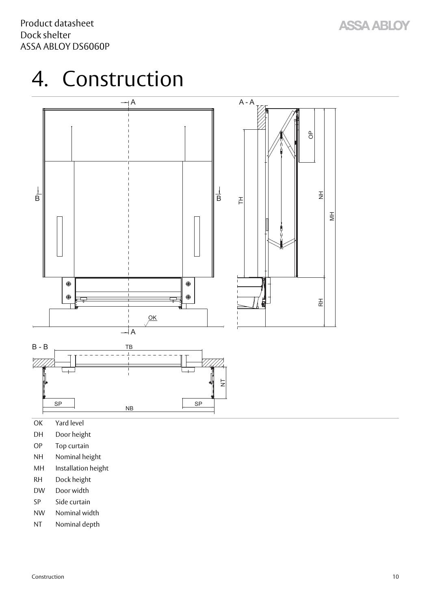## <span id="page-9-1"></span><span id="page-9-0"></span>4. Construction



- OK Yard level
- DH Door height
- OP Top curtain
- NH Nominal height
- MH Installation height
- RH Dock height
- DW Door width
- SP Side curtain
- NW Nominal width
- NT Nominal depth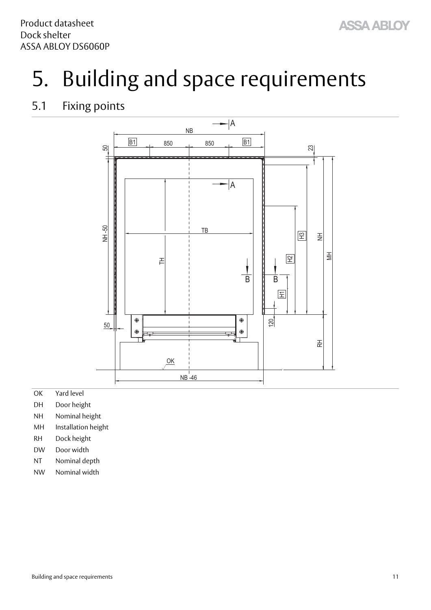## <span id="page-10-2"></span><span id="page-10-0"></span>5. Building and space requirements

### <span id="page-10-3"></span><span id="page-10-1"></span>5.1 Fixing points



- OK Yard level
- DH Door height
- NH Nominal height
- MH Installation height
- RH Dock height
- DW Door width
- NT Nominal depth
- NW Nominal width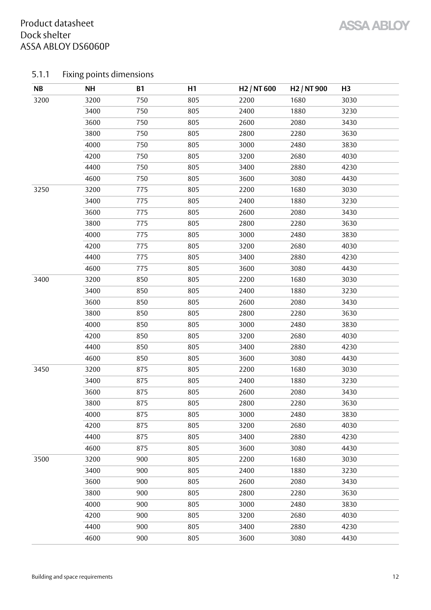#### <span id="page-11-1"></span><span id="page-11-0"></span>5.1.1 Fixing points dimensions

| NB   | <b>NH</b> | <b>B1</b> | H1  | H <sub>2</sub> / NT 600 | H <sub>2</sub> / NT 900 | H <sub>3</sub> |
|------|-----------|-----------|-----|-------------------------|-------------------------|----------------|
| 3200 | 3200      | 750       | 805 | 2200                    | 1680                    | 3030           |
|      | 3400      | 750       | 805 | 2400                    | 1880                    | 3230           |
|      | 3600      | 750       | 805 | 2600                    | 2080                    | 3430           |
|      | 3800      | 750       | 805 | 2800                    | 2280                    | 3630           |
|      | 4000      | 750       | 805 | 3000                    | 2480                    | 3830           |
|      | 4200      | 750       | 805 | 3200                    | 2680                    | 4030           |
|      | 4400      | 750       | 805 | 3400                    | 2880                    | 4230           |
|      | 4600      | 750       | 805 | 3600                    | 3080                    | 4430           |
| 3250 | 3200      | 775       | 805 | 2200                    | 1680                    | 3030           |
|      | 3400      | 775       | 805 | 2400                    | 1880                    | 3230           |
|      | 3600      | 775       | 805 | 2600                    | 2080                    | 3430           |
|      | 3800      | 775       | 805 | 2800                    | 2280                    | 3630           |
|      | 4000      | 775       | 805 | 3000                    | 2480                    | 3830           |
|      | 4200      | 775       | 805 | 3200                    | 2680                    | 4030           |
|      | 4400      | 775       | 805 | 3400                    | 2880                    | 4230           |
|      | 4600      | 775       | 805 | 3600                    | 3080                    | 4430           |
| 3400 | 3200      | 850       | 805 | 2200                    | 1680                    | 3030           |
|      | 3400      | 850       | 805 | 2400                    | 1880                    | 3230           |
|      | 3600      | 850       | 805 | 2600                    | 2080                    | 3430           |
|      | 3800      | 850       | 805 | 2800                    | 2280                    | 3630           |
|      | 4000      | 850       | 805 | 3000                    | 2480                    | 3830           |
|      | 4200      | 850       | 805 | 3200                    | 2680                    | 4030           |
|      | 4400      | 850       | 805 | 3400                    | 2880                    | 4230           |
|      | 4600      | 850       | 805 | 3600                    | 3080                    | 4430           |
| 3450 | 3200      | 875       | 805 | 2200                    | 1680                    | 3030           |
|      | 3400      | 875       | 805 | 2400                    | 1880                    | 3230           |
|      | 3600      | 875       | 805 | 2600                    | 2080                    | 3430           |
|      | 3800      | 875       | 805 | 2800                    | 2280                    | 3630           |
|      | 4000      | 875       | 805 | 3000                    | 2480                    | 3830           |
|      | 4200      | 875       | 805 | 3200                    | 2680                    | 4030           |
|      | 4400      | 875       | 805 | 3400                    | 2880                    | 4230           |
|      | 4600      | 875       | 805 | 3600                    | 3080                    | 4430           |
| 3500 | 3200      | 900       | 805 | 2200                    | 1680                    | 3030           |
|      | 3400      | 900       | 805 | 2400                    | 1880                    | 3230           |
|      | 3600      | 900       | 805 | 2600                    | 2080                    | 3430           |
|      | 3800      | 900       | 805 | 2800                    | 2280                    | 3630           |
|      | 4000      | 900       | 805 | 3000                    | 2480                    | 3830           |
|      | 4200      | 900       | 805 | 3200                    | 2680                    | 4030           |
|      | 4400      | 900       | 805 | 3400                    | 2880                    | 4230           |
|      | 4600      | 900       | 805 | 3600                    | 3080                    | 4430           |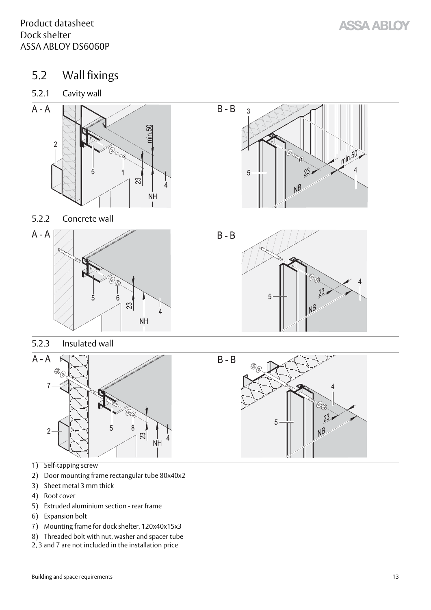- <span id="page-12-7"></span><span id="page-12-0"></span>5.2 Wall fixings
- <span id="page-12-4"></span><span id="page-12-1"></span>5.2.1 Cavity wall



<span id="page-12-5"></span><span id="page-12-2"></span>







<span id="page-12-6"></span><span id="page-12-3"></span>5.2.3 Insulated wall



- 1) Self-tapping screw
- 2) Door mounting frame rectangular tube 80x40x2
- 3) Sheet metal 3 mm thick
- 4) Roof cover
- 5) Extruded aluminium section rear frame
- 6) Expansion bolt
- 7) Mounting frame for dock shelter, 120x40x15x3
- 8) Threaded bolt with nut, washer and spacer tube
- 2, 3 and 7 are not included in the installation price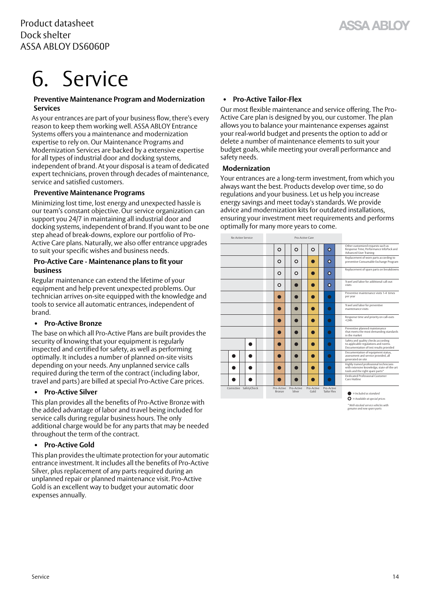## <span id="page-13-1"></span><span id="page-13-0"></span>6. Service

#### **Preventive Maintenance Program and Modernization Services**

As your entrances are part of your business flow, there's every reason to keep them working well. ASSA ABLOY Entrance Systems offers you a maintenance and modernization expertise to rely on. Our Maintenance Programs and Modernization Services are backed by a extensive expertise for all types of industrial door and docking systems, independent of brand. At your disposal is a team of dedicated expert technicians, proven through decades of maintenance, service and satisfied customers.

#### **Preventive Maintenance Programs**

Minimizing lost time, lost energy and unexpected hassle is our team's constant objective. Our service organization can support you 24/7 in maintaining all industrial door and docking systems, independent of brand. If you want to be one step ahead of break-downs, explore our portfolio of Pro-Active Care plans. Naturally, we also offer entrance upgrades to suit your specific wishes and business needs.

#### **Pro-Active Care - Maintenance plans to fit your business**

Regular maintenance can extend the lifetime of your equipment and help prevent unexpected problems. Our technician arrives on-site equipped with the knowledge and tools to service all automatic entrances, independent of brand.

#### **• Pro-Active Bronze**

The base on which all Pro-Active Plans are built provides the security of knowing that your equipment is regularly inspected and certified for safety, as well as performing optimally. It includes a number of planned on-site visits depending on your needs. Any unplanned service calls required during the term of the contract (including labor, travel and parts) are billed at special Pro-Active Care prices.

#### **• Pro-Active Silver**

This plan provides all the benefits of Pro-Active Bronze with the added advantage of labor and travel being included for service calls during regular business hours. The only additional charge would be for any parts that may be needed throughout the term of the contract.

#### **• Pro-Active Gold**

This plan provides the ultimate protection for your automatic entrance investment. It includes all the benefits of Pro-Active Silver, plus replacement of any parts required during an unplanned repair or planned maintenance visit. Pro-Active Gold is an excellent way to budget your automatic door expenses annually.

#### **• Pro-Active Tailor-Flex**

Our most flexible maintenance and service offering. The Pro-Active Care plan is designed by you, our customer. The plan allows you to balance your maintenance expenses against your real-world budget and presents the option to add or delete a number of maintenance elements to suit your budget goals, while meeting your overall performance and safety needs.

#### **Modernization**

Your entrances are a long-term investment, from which you always want the best. Products develop over time, so do regulations and your business. Let us help you increase energy savings and meet today's standards. We provide advice and modernization kits for outdated installations, ensuring your investment meet requirements and performs optimally for many more years to come.

| <b>Re-Active Service</b> |                      | Pro-Active Care      |                    |                                  |                                                                                                                           |
|--------------------------|----------------------|----------------------|--------------------|----------------------------------|---------------------------------------------------------------------------------------------------------------------------|
|                          | O                    | o                    | O                  | $\mathbf{o}$                     | Other customized requests such as<br>Response Time, Performance InfoPack and<br>Advanced User Training                    |
|                          | o                    | o                    |                    | o                                | Replacement of worn parts according to<br>preventive Consumable Exchange Program                                          |
|                          | O                    | o                    |                    | o                                | Replacement of spare parts on breakdowns                                                                                  |
|                          | o                    |                      |                    | o                                | Travel and labor for additional call-out<br>visits                                                                        |
|                          |                      |                      |                    | $\bullet$                        | Preventive maintenance visits 1-4 times<br>per year                                                                       |
|                          |                      |                      |                    | $\bullet$                        | Travel and labor for preventive<br>maintenance visits.                                                                    |
|                          |                      |                      |                    | $\bullet$                        | Response time and priority on call-outs<br>< 24h                                                                          |
|                          |                      |                      |                    | $\bullet$                        | Preventive planned maintenance<br>that meets the most demanding standards<br>in the market                                |
|                          |                      |                      |                    | $\bullet$                        | Safety and quality checks according<br>to applicable regulations and norms.<br>Documentation of test results provided     |
|                          |                      | r i                  | - 1                | $\bullet$                        | Documentation of equipment status,<br>assessment and service provided, all<br>generated on site                           |
|                          |                      |                      |                    | $\bullet$                        | Highly trained professional technicians<br>with extensive knowledge, state-of-the-art<br>tools and the right spare parts* |
|                          |                      |                      |                    | $\bullet$                        | Dedicated Professional Customer<br>Care Hotline                                                                           |
| Corrective SafetyCheck   | Pro-Active<br>Bronze | Pro-Active<br>Silver | Pro-Active<br>Gold | Pro-Active<br><b>Tailor Flex</b> | $=$ Included as standard                                                                                                  |
|                          |                      |                      |                    |                                  | $\mathbf{\Omega}$ = Available at special prices                                                                           |

*\* Well-stocked service vehicles with genuine and new spare parts*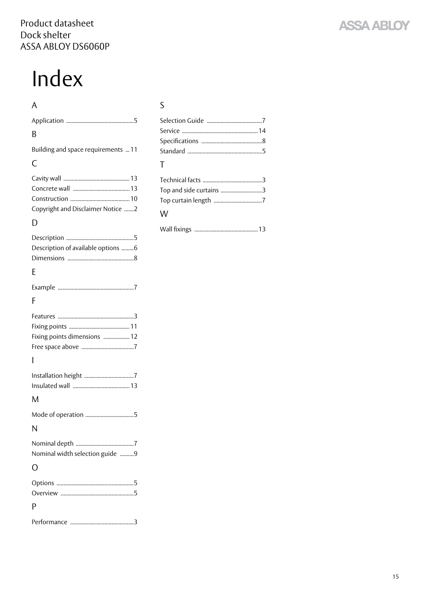# <span id="page-14-0"></span>Index

#### A

| B                                       |
|-----------------------------------------|
| Building and space requirements  11     |
| C                                       |
| Copyright and Disclaimer Notice 2       |
| D                                       |
| Description of available options 6<br>E |
|                                         |
| F                                       |
| Fixing points dimensions  12            |
| ı                                       |
| M                                       |
|                                         |
| N                                       |
| Nominal width selection guide 9         |
| ∩                                       |
| P                                       |
|                                         |

## S

| T                       |
|-------------------------|
|                         |
| Top and side curtains 3 |
|                         |
| W                       |

Wall fixings [.............................................. 13](#page-12-7)